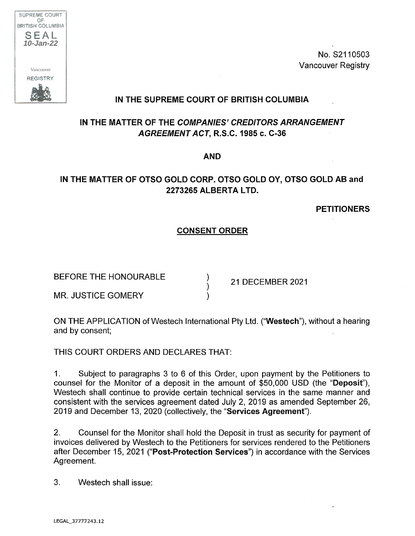

No. S2110503 Vancouver Registry

## **IN THE SUPREME COURT OF BRITISH COLUMBIA**

# **IN THE MATTER OF THE COMPANIES' CREDITORS ARRANGEMENT AGREEMENT ACT, R.S.C. 1985 c. C-36**

**AND**

## **IN THE MATTER OF OTSO GOLD CORP. OTSO GOLD OY, OTSO GOLD AB and 2273265 ALBERTA LTD.**

**PETITIONERS**

### **CONSENT ORDER**

BEFORE THE HONOURABLE  $\overrightarrow{21}$  DECEMBER 2021

MR. JUSTICE GOMERY

ON THE APPLICATION of Westech International Pty Ltd. ("Westech"), without a hearing and by consent;

THIS COURT ORDERS AND DECLARES THAT:

1. Subject to paragraphs 3 to 6 of this Order, upon payment by the Petitioners to counsel for the Monitor of a deposit in the amount of \$50,000 USD (the "Deposit"), Westech shall continue to provide certain technical services in the same manner and consistent with the services agreement dated July 2, 2019 as amended September 26, 2019 and December 13, 2020 (collectively, the 'Services Agreement").

2. Counsel for the Monitor shall hold the Deposit in trust as security for payment of invoices delivered by Westech to the Petitioners for services rendered to the Petitioners after December 15, **2021 ("Post-Protection Services")** in accordance with the Services Agreement.

3. Westech shall issue: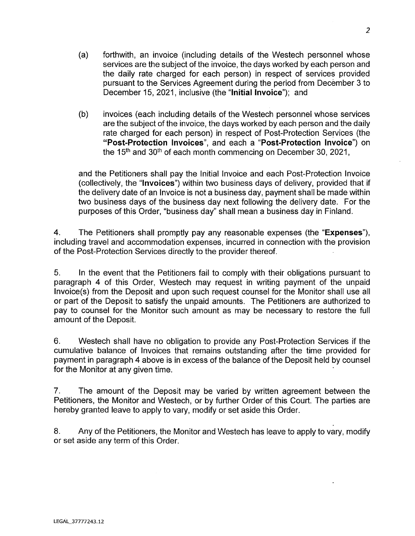- (a) forthwith, an invoice (including details of the Westech personnel whose services are the subject of the invoice, the days worked by each person and the daily rate charged for each person) in respect of services provided pursuant to the Services Agreement during the period from December 3 to December 15, 2021, inclusive (the "Initial Invoice"); and
- (b) invoices (each including details of the Westech personnel whose services are the subject of the invoice, the days worked by each person and the daily rate charged for each person) in respect of Post-Protection Services (the **"Post-Protection Invoices",** and each a "Post-Protection Invoice") on **the <sup>1</sup> 5th and 30th** of each month commencing on December 30, 2021,

and the Petitioners shall pay the Initial Invoice and each Post-Protection Invoice (collectively, the "Invoices") within two business days of delivery, provided that if the delivery date of an Invoice is not a business day, payment shall be made within two business days of the business day next following the delivery date. For the purposes of this Order, "business day" shall mean a business day in Finland.

4. The Petitioners shall promptly pay any reasonable expenses (the "**Expenses**"), including travel and accommodation expenses, incurred in connection with the provision of the Post-Protection Services directly to the provider thereof.

5. In the event that the Petitioners fail to comply with their obligations pursuant to paragraph 4 of this Order, Westech may request in writing payment of the unpaid Invoice(s) from the Deposit and upon such request counsel for the Monitor shall use all or part of the Deposit to satisfy the unpaid amounts. The Petitioners are authorized to pay to counsel for the Monitor such amount as may be necessary to restore the full amount of the Deposit.

6. Westech shall have no obligation to provide any Post-Protection Services if the cumulative balance of Invoices that remains outstanding after the time provided for payment in paragraph 4 above is in excess of the balance of the Deposit held by counsel for the Monitor at any given time.

7. The amount of the Deposit may be varied by written agreement between the Petitioners, the Monitor and Westech, or by further Order of this Court. The parties are hereby granted leave to apply to vary, modify or set aside this Order.

8. Any of the Petitioners, the Monitor and Westech has leave to apply to vary, modify or set aside any term of this Order.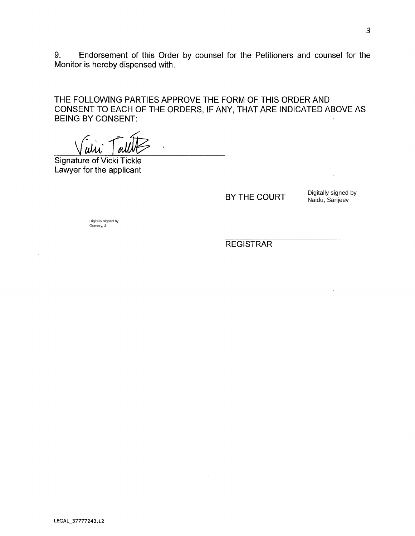9. Endorsement of this Order by counsel for the Petitioners and counsel for the Monitor is hereby dispensed with.

THE FOLLOWING PARTIES APPROVE THE FORM OF THIS ORDER AND CONSENT TO EACH OF THE ORDERS, IF ANY, THAT ARE INDICATED ABOVE AS BEING BY CONSENT:

Signature of Vicki Tickle Lawyer for the applicant

BY THE COURT

Digitally signed by Naidu, Sanjeev

 $\bar{\mathcal{A}}$ 

Digitally signed by Gomery, J

REGISTRAR